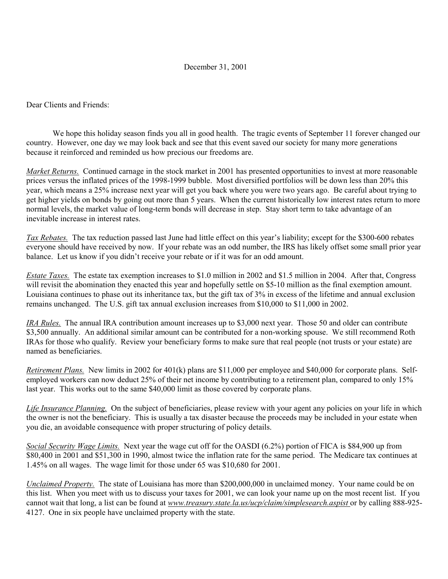## December 31, 2001

Dear Clients and Friends:

We hope this holiday season finds you all in good health. The tragic events of September 11 forever changed our country. However, one day we may look back and see that this event saved our society for many more generations because it reinforced and reminded us how precious our freedoms are.

*Market Returns.* Continued carnage in the stock market in 2001 has presented opportunities to invest at more reasonable prices versus the inflated prices of the 1998-1999 bubble. Most diversified portfolios will be down less than 20% this year, which means a 25% increase next year will get you back where you were two years ago. Be careful about trying to get higher yields on bonds by going out more than 5 years. When the current historically low interest rates return to more normal levels, the market value of long-term bonds will decrease in step. Stay short term to take advantage of an inevitable increase in interest rates.

*Tax Rebates.* The tax reduction passed last June had little effect on this year's liability; except for the \$300-600 rebates everyone should have received by now. If your rebate was an odd number, the IRS has likely offset some small prior year balance. Let us know if you didn't receive your rebate or if it was for an odd amount.

*Estate Taxes.* The estate tax exemption increases to \$1.0 million in 2002 and \$1.5 million in 2004. After that, Congress will revisit the abomination they enacted this year and hopefully settle on \$5-10 million as the final exemption amount. Louisiana continues to phase out its inheritance tax, but the gift tax of 3% in excess of the lifetime and annual exclusion remains unchanged. The U.S. gift tax annual exclusion increases from \$10,000 to \$11,000 in 2002.

*IRA Rules.* The annual IRA contribution amount increases up to \$3,000 next year. Those 50 and older can contribute \$3,500 annually. An additional similar amount can be contributed for a non-working spouse. We still recommend Roth IRAs for those who qualify. Review your beneficiary forms to make sure that real people (not trusts or your estate) are named as beneficiaries.

*Retirement Plans.* New limits in 2002 for 401(k) plans are \$11,000 per employee and \$40,000 for corporate plans. Selfemployed workers can now deduct 25% of their net income by contributing to a retirement plan, compared to only 15% last year. This works out to the same \$40,000 limit as those covered by corporate plans.

*Life Insurance Planning.* On the subject of beneficiaries, please review with your agent any policies on your life in which the owner is not the beneficiary. This is usually a tax disaster because the proceeds may be included in your estate when you die, an avoidable consequence with proper structuring of policy details.

*Social Security Wage Limits.* Next year the wage cut off for the OASDI (6.2%) portion of FICA is \$84,900 up from \$80,400 in 2001 and \$51,300 in 1990, almost twice the inflation rate for the same period. The Medicare tax continues at 1.45% on all wages. The wage limit for those under 65 was \$10,680 for 2001.

*Unclaimed Property.* The state of Louisiana has more than \$200,000,000 in unclaimed money. Your name could be on this list. When you meet with us to discuss your taxes for 2001, we can look your name up on the most recent list. If you cannot wait that long, a list can be found at *www.treasury.state.la.us/ucp/claim/simplesearch.aspist* or by calling 888-925-4127. One in six people have unclaimed property with the state.